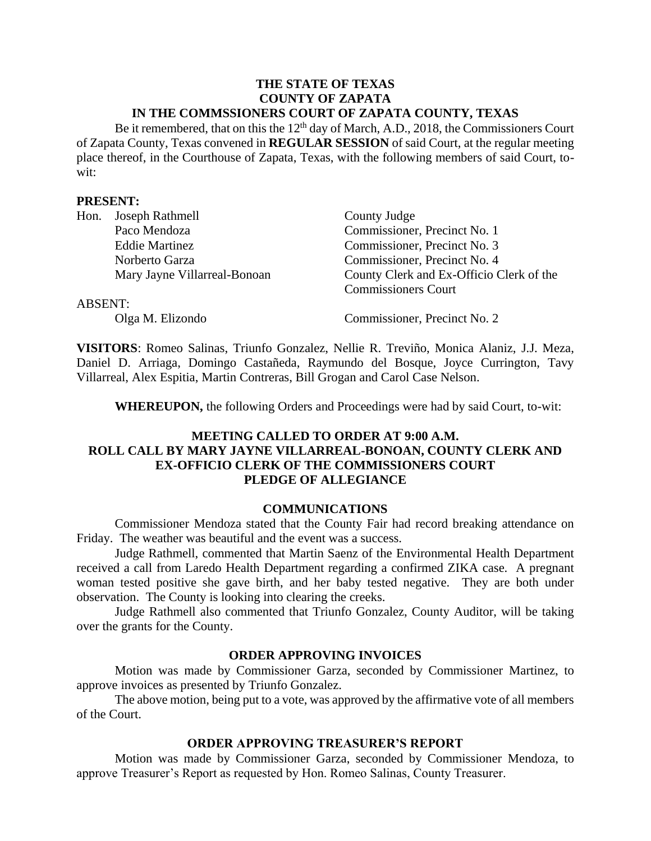#### **THE STATE OF TEXAS COUNTY OF ZAPATA IN THE COMMSSIONERS COURT OF ZAPATA COUNTY, TEXAS**

Be it remembered, that on this the  $12<sup>th</sup>$  day of March, A.D., 2018, the Commissioners Court of Zapata County, Texas convened in **REGULAR SESSION** of said Court, at the regular meeting place thereof, in the Courthouse of Zapata, Texas, with the following members of said Court, towit:

### **PRESENT:**

| Hon.           | Joseph Rathmell              | County Judge                             |  |
|----------------|------------------------------|------------------------------------------|--|
|                | Paco Mendoza                 | Commissioner, Precinct No. 1             |  |
|                | <b>Eddie Martinez</b>        | Commissioner, Precinct No. 3             |  |
|                | Norberto Garza               | Commissioner, Precinct No. 4             |  |
|                | Mary Jayne Villarreal-Bonoan | County Clerk and Ex-Officio Clerk of the |  |
|                |                              | <b>Commissioners Court</b>               |  |
| <b>ABSENT:</b> |                              |                                          |  |
|                | Olga M. Elizondo             | Commissioner, Precinct No. 2             |  |

**VISITORS**: Romeo Salinas, Triunfo Gonzalez, Nellie R. Treviño, Monica Alaniz, J.J. Meza, Daniel D. Arriaga, Domingo Castañeda, Raymundo del Bosque, Joyce Currington, Tavy Villarreal, Alex Espitia, Martin Contreras, Bill Grogan and Carol Case Nelson.

**WHEREUPON,** the following Orders and Proceedings were had by said Court, to-wit:

## **MEETING CALLED TO ORDER AT 9:00 A.M. ROLL CALL BY MARY JAYNE VILLARREAL-BONOAN, COUNTY CLERK AND EX-OFFICIO CLERK OF THE COMMISSIONERS COURT PLEDGE OF ALLEGIANCE**

#### **COMMUNICATIONS**

Commissioner Mendoza stated that the County Fair had record breaking attendance on Friday. The weather was beautiful and the event was a success.

Judge Rathmell, commented that Martin Saenz of the Environmental Health Department received a call from Laredo Health Department regarding a confirmed ZIKA case. A pregnant woman tested positive she gave birth, and her baby tested negative. They are both under observation. The County is looking into clearing the creeks.

Judge Rathmell also commented that Triunfo Gonzalez, County Auditor, will be taking over the grants for the County.

## **ORDER APPROVING INVOICES**

Motion was made by Commissioner Garza, seconded by Commissioner Martinez, to approve invoices as presented by Triunfo Gonzalez.

The above motion, being put to a vote, was approved by the affirmative vote of all members of the Court.

## **ORDER APPROVING TREASURER'S REPORT**

Motion was made by Commissioner Garza, seconded by Commissioner Mendoza, to approve Treasurer's Report as requested by Hon. Romeo Salinas, County Treasurer.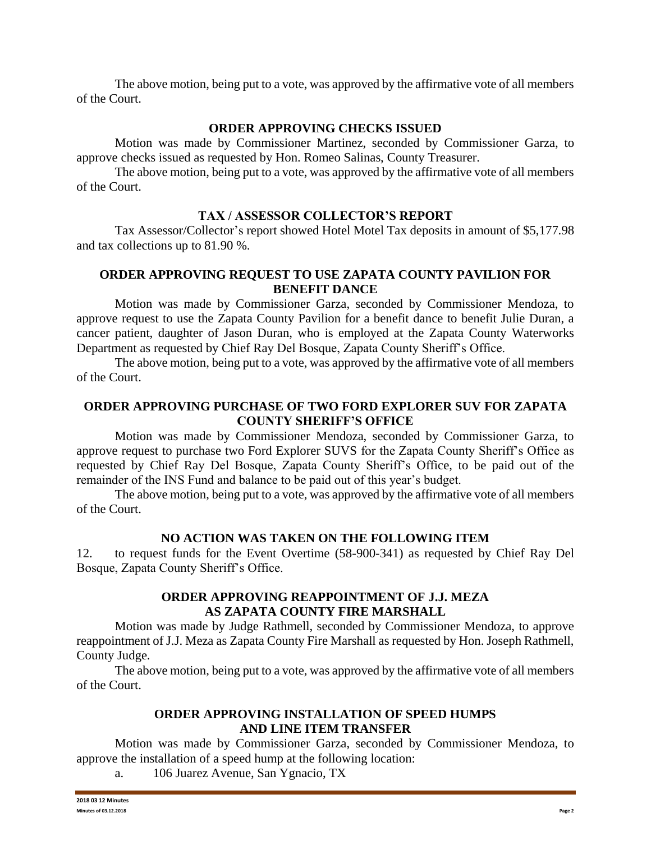The above motion, being put to a vote, was approved by the affirmative vote of all members of the Court.

### **ORDER APPROVING CHECKS ISSUED**

Motion was made by Commissioner Martinez, seconded by Commissioner Garza, to approve checks issued as requested by Hon. Romeo Salinas, County Treasurer.

The above motion, being put to a vote, was approved by the affirmative vote of all members of the Court.

### **TAX / ASSESSOR COLLECTOR'S REPORT**

Tax Assessor/Collector's report showed Hotel Motel Tax deposits in amount of \$5,177.98 and tax collections up to 81.90 %.

## **ORDER APPROVING REQUEST TO USE ZAPATA COUNTY PAVILION FOR BENEFIT DANCE**

Motion was made by Commissioner Garza, seconded by Commissioner Mendoza, to approve request to use the Zapata County Pavilion for a benefit dance to benefit Julie Duran, a cancer patient, daughter of Jason Duran, who is employed at the Zapata County Waterworks Department as requested by Chief Ray Del Bosque, Zapata County Sheriff's Office.

The above motion, being put to a vote, was approved by the affirmative vote of all members of the Court.

## **ORDER APPROVING PURCHASE OF TWO FORD EXPLORER SUV FOR ZAPATA COUNTY SHERIFF'S OFFICE**

Motion was made by Commissioner Mendoza, seconded by Commissioner Garza, to approve request to purchase two Ford Explorer SUVS for the Zapata County Sheriff's Office as requested by Chief Ray Del Bosque, Zapata County Sheriff's Office, to be paid out of the remainder of the INS Fund and balance to be paid out of this year's budget.

The above motion, being put to a vote, was approved by the affirmative vote of all members of the Court.

### **NO ACTION WAS TAKEN ON THE FOLLOWING ITEM**

12. to request funds for the Event Overtime (58-900-341) as requested by Chief Ray Del Bosque, Zapata County Sheriff's Office.

#### **ORDER APPROVING REAPPOINTMENT OF J.J. MEZA AS ZAPATA COUNTY FIRE MARSHALL**

Motion was made by Judge Rathmell, seconded by Commissioner Mendoza, to approve reappointment of J.J. Meza as Zapata County Fire Marshall as requested by Hon. Joseph Rathmell, County Judge.

The above motion, being put to a vote, was approved by the affirmative vote of all members of the Court.

# **ORDER APPROVING INSTALLATION OF SPEED HUMPS AND LINE ITEM TRANSFER**

Motion was made by Commissioner Garza, seconded by Commissioner Mendoza, to approve the installation of a speed hump at the following location:

a. 106 Juarez Avenue, San Ygnacio, TX